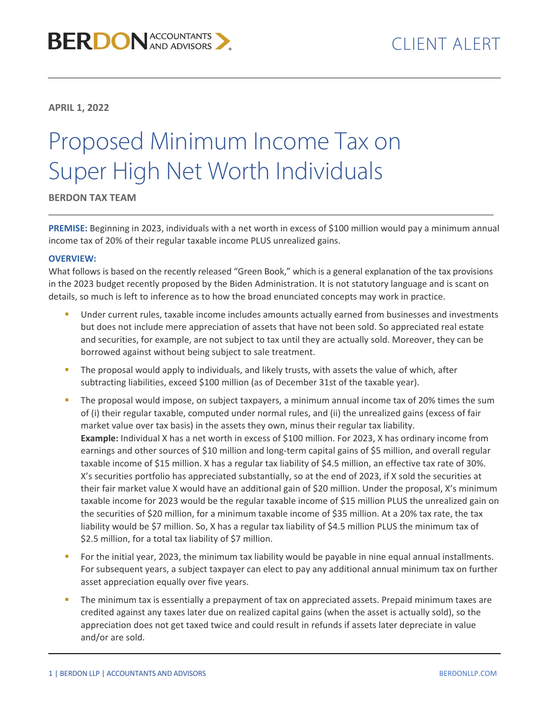**APRIL 1, 2022**

## Proposed Minimum Income Tax on Super High Net Worth Individuals

**BERDON TAX TEAM**

**PREMISE:** Beginning in 2023, individuals with a net worth in excess of \$100 million would pay a minimum annual income tax of 20% of their regular taxable income PLUS unrealized gains.

## **OVERVIEW:**

What follows is based on the recently released "Green Book," which is a general explanation of the tax provisions in the 2023 budget recently proposed by the Biden Administration. It is not statutory language and is scant on details, so much is left to inference as to how the broad enunciated concepts may work in practice.

- Under current rules, taxable income includes amounts actually earned from businesses and investments but does not include mere appreciation of assets that have not been sold. So appreciated real estate and securities, for example, are not subject to tax until they are actually sold. Moreover, they can be borrowed against without being subject to sale treatment.
- The proposal would apply to individuals, and likely trusts, with assets the value of which, after subtracting liabilities, exceed \$100 million (as of December 31st of the taxable year).
- The proposal would impose, on subject taxpayers, a minimum annual income tax of 20% times the sum of (i) their regular taxable, computed under normal rules, and (ii) the unrealized gains (excess of fair market value over tax basis) in the assets they own, minus their regular tax liability. **Example:** Individual X has a net worth in excess of \$100 million. For 2023, X has ordinary income from earnings and other sources of \$10 million and long-term capital gains of \$5 million, and overall regular taxable income of \$15 million. X has a regular tax liability of \$4.5 million, an effective tax rate of 30%. X's securities portfolio has appreciated substantially, so at the end of 2023, if X sold the securities at their fair market value X would have an additional gain of \$20 million. Under the proposal, X's minimum taxable income for 2023 would be the regular taxable income of \$15 million PLUS the unrealized gain on the securities of \$20 million, for a minimum taxable income of \$35 million. At a 20% tax rate, the tax liability would be \$7 million. So, X has a regular tax liability of \$4.5 million PLUS the minimum tax of \$2.5 million, for a total tax liability of \$7 million.
- For the initial year, 2023, the minimum tax liability would be payable in nine equal annual installments. For subsequent years, a subject taxpayer can elect to pay any additional annual minimum tax on further asset appreciation equally over five years.
- The minimum tax is essentially a prepayment of tax on appreciated assets. Prepaid minimum taxes are credited against any taxes later due on realized capital gains (when the asset is actually sold), so the appreciation does not get taxed twice and could result in refunds if assets later depreciate in value and/or are sold.